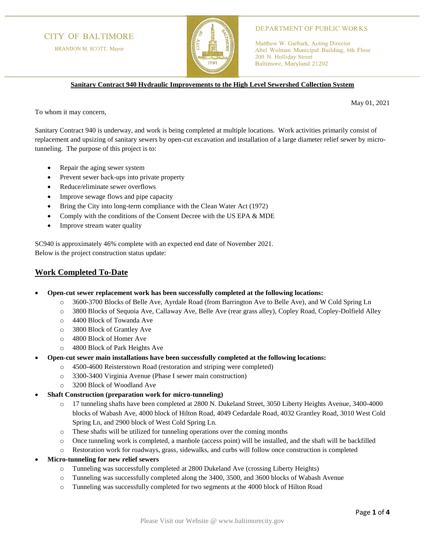# **CITY OF BALTIMORE**

BRANDON M. SCOTT, Mayor



### **DEPARTMENT OF PUBLIC WORKS**

Matthew W. Garbark, Acting Director Abel Wolman Municipal Building, 6th Floor 200 N. Holliday Street Baltimore, Maryland 21202

**Sanitary Contract 940 Hydraulic Improvements to the High Level Sewershed Collection System**

May 01, 2021

To whom it may concern,

Sanitary Contract 940 is underway, and work is being completed at multiple locations. Work activities primarily consist of replacement and upsizing of sanitary sewers by open-cut excavation and installation of a large diameter relief sewer by microtunneling. The purpose of this project is to:

- Repair the aging sewer system
- Prevent sewer back-ups into private property
- Reduce/eliminate sewer overflows
- Improve sewage flows and pipe capacity
- Bring the City into long-term compliance with the Clean Water Act (1972)
- Comply with the conditions of the Consent Decree with the US EPA & MDE
- Improve stream water quality

SC940 is approximately 46% complete with an expected end date of November 2021. Below is the project construction status update:

### **Work Completed To-Date**

- **Open-cut sewer replacement work has been successfully completed at the following locations:**
	- o 3600-3700 Blocks of Belle Ave, Ayrdale Road (from Barrington Ave to Belle Ave), and W Cold Spring Ln
	- o 3800 Blocks of Sequoia Ave, Callaway Ave, Belle Ave (rear grass alley), Copley Road, Copley-Dolfield Alley
	- o 4400 Block of Towanda Ave
	- o 3800 Block of Grantley Ave
	- o 4800 Block of Homer Ave
	- o 4800 Block of Park Heights Ave
- **Open-cut sewer main installations have been successfully completed at the following locations:**
	- o 4500-4600 Reisterstown Road (restoration and striping were completed)
	- o 3300-3400 Virginia Avenue (Phase I sewer main construction)
	- o 3200 Block of Woodland Ave
- **Shaft Construction (preparation work for micro-tunneling)**
	- o 17 tunneling shafts have been completed at 2800 N. Dukeland Street, 3050 Liberty Heights Avenue, 3400-4000 blocks of Wabash Ave, 4000 block of Hilton Road, 4049 Cedardale Road, 4032 Grantley Road, 3010 West Cold Spring Ln, and 2900 block of West Cold Spring Ln.
	- o These shafts will be utilized for tunneling operations over the coming months
	- o Once tunneling work is completed, a manhole (access point) will be installed, and the shaft will be backfilled
	- Restoration work for roadways, grass, sidewalks, and curbs will follow once construction is completed
- **Micro-tunneling for new relief sewers**
	- o Tunneling was successfully completed at 2800 Dukeland Ave (crossing Liberty Heights)
	- o Tunneling was successfully completed along the 3400, 3500, and 3600 blocks of Wabash Avenue
	- o Tunneling was successfully completed for two segments at the 4000 block of Hilton Road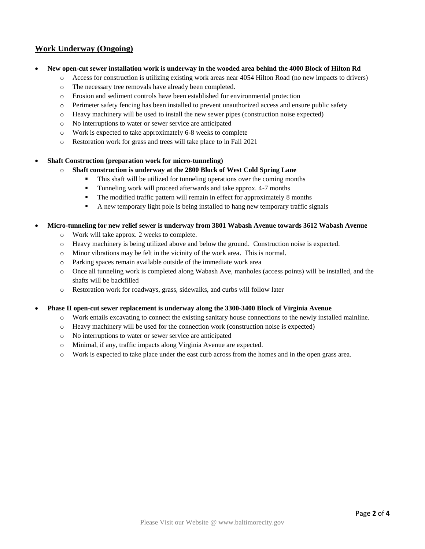## **Work Underway (Ongoing)**

- **New open-cut sewer installation work is underway in the wooded area behind the 4000 Block of Hilton Rd**
	- o Access for construction is utilizing existing work areas near 4054 Hilton Road (no new impacts to drivers)
		- o The necessary tree removals have already been completed.
		- o Erosion and sediment controls have been established for environmental protection
		- o Perimeter safety fencing has been installed to prevent unauthorized access and ensure public safety
		- o Heavy machinery will be used to install the new sewer pipes (construction noise expected)
		- o No interruptions to water or sewer service are anticipated
		- o Work is expected to take approximately 6-8 weeks to complete
		- o Restoration work for grass and trees will take place to in Fall 2021

#### • **Shaft Construction (preparation work for micro-tunneling)**

- o **Shaft construction is underway at the 2800 Block of West Cold Spring Lane**
	- This shaft will be utilized for tunneling operations over the coming months
	- Tunneling work will proceed afterwards and take approx. 4-7 months
	- The modified traffic pattern will remain in effect for approximately 8 months
	- A new temporary light pole is being installed to hang new temporary traffic signals

#### • **Micro-tunneling for new relief sewer is underway from 3801 Wabash Avenue towards 3612 Wabash Avenue**

- o Work will take approx. 2 weeks to complete.
- o Heavy machinery is being utilized above and below the ground. Construction noise is expected.
- o Minor vibrations may be felt in the vicinity of the work area. This is normal.
- o Parking spaces remain available outside of the immediate work area
- o Once all tunneling work is completed along Wabash Ave, manholes (access points) will be installed, and the shafts will be backfilled
- o Restoration work for roadways, grass, sidewalks, and curbs will follow later

• **Phase II open-cut sewer replacement is underway along the 3300-3400 Block of Virginia Avenue**

- o Work entails excavating to connect the existing sanitary house connections to the newly installed mainline.
- o Heavy machinery will be used for the connection work (construction noise is expected)
- o No interruptions to water or sewer service are anticipated
- o Minimal, if any, traffic impacts along Virginia Avenue are expected.
- o Work is expected to take place under the east curb across from the homes and in the open grass area.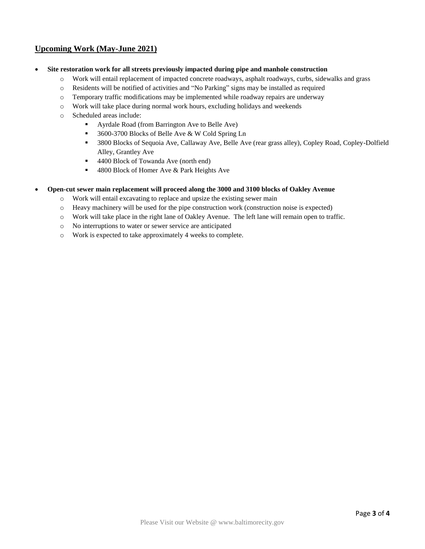# **Upcoming Work (May-June 2021)**

- **Site restoration work for all streets previously impacted during pipe and manhole construction**
	- o Work will entail replacement of impacted concrete roadways, asphalt roadways, curbs, sidewalks and grass
	- o Residents will be notified of activities and "No Parking" signs may be installed as required
	- o Temporary traffic modifications may be implemented while roadway repairs are underway
	- o Work will take place during normal work hours, excluding holidays and weekends
	- o Scheduled areas include:
		- Ayrdale Road (from Barrington Ave to Belle Ave)
		- 3600-3700 Blocks of Belle Ave & W Cold Spring Ln
		- 3800 Blocks of Sequoia Ave, Callaway Ave, Belle Ave (rear grass alley), Copley Road, Copley-Dolfield Alley, Grantley Ave
		- 4400 Block of Towanda Ave (north end)
		- 4800 Block of Homer Ave & Park Heights Ave

### • **Open-cut sewer main replacement will proceed along the 3000 and 3100 blocks of Oakley Avenue**

- o Work will entail excavating to replace and upsize the existing sewer main
- o Heavy machinery will be used for the pipe construction work (construction noise is expected)
- o Work will take place in the right lane of Oakley Avenue. The left lane will remain open to traffic.
- o No interruptions to water or sewer service are anticipated
- o Work is expected to take approximately 4 weeks to complete.